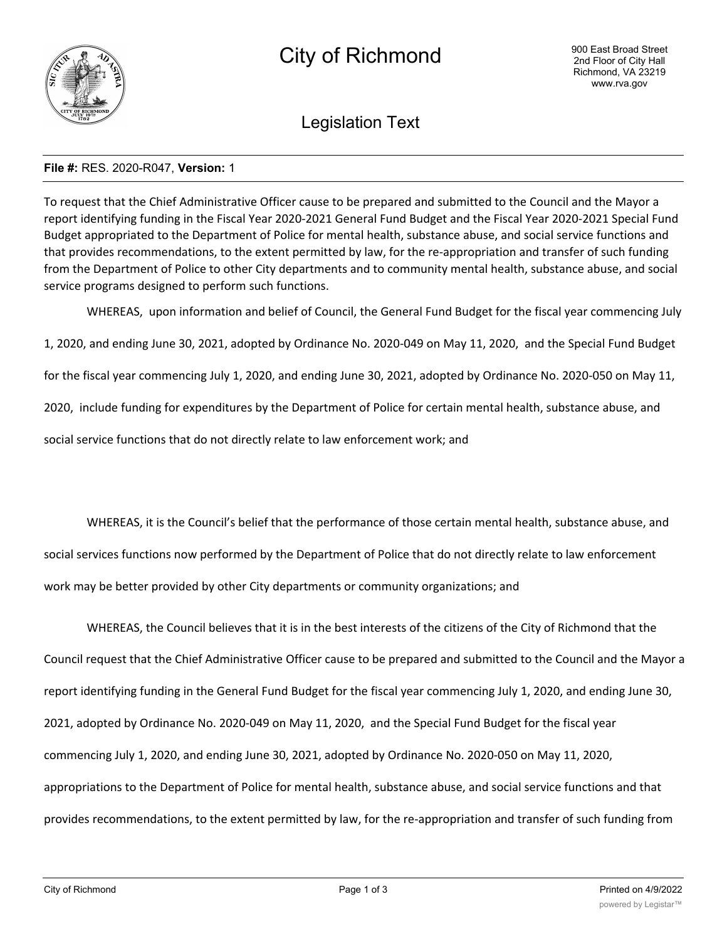

Legislation Text

# **File #:** RES. 2020-R047, **Version:** 1

To request that the Chief Administrative Officer cause to be prepared and submitted to the Council and the Mayor a report identifying funding in the Fiscal Year 2020-2021 General Fund Budget and the Fiscal Year 2020-2021 Special Fund Budget appropriated to the Department of Police for mental health, substance abuse, and social service functions and that provides recommendations, to the extent permitted by law, for the re-appropriation and transfer of such funding from the Department of Police to other City departments and to community mental health, substance abuse, and social service programs designed to perform such functions.

WHEREAS, upon information and belief of Council, the General Fund Budget for the fiscal year commencing July

1, 2020, and ending June 30, 2021, adopted by Ordinance No. 2020-049 on May 11, 2020, and the Special Fund Budget

for the fiscal year commencing July 1, 2020, and ending June 30, 2021, adopted by Ordinance No. 2020-050 on May 11,

2020, include funding for expenditures by the Department of Police for certain mental health, substance abuse, and

social service functions that do not directly relate to law enforcement work; and

WHEREAS, it is the Council's belief that the performance of those certain mental health, substance abuse, and social services functions now performed by the Department of Police that do not directly relate to law enforcement work may be better provided by other City departments or community organizations; and

WHEREAS, the Council believes that it is in the best interests of the citizens of the City of Richmond that the Council request that the Chief Administrative Officer cause to be prepared and submitted to the Council and the Mayor a report identifying funding in the General Fund Budget for the fiscal year commencing July 1, 2020, and ending June 30, 2021, adopted by Ordinance No. 2020-049 on May 11, 2020, and the Special Fund Budget for the fiscal year commencing July 1, 2020, and ending June 30, 2021, adopted by Ordinance No. 2020-050 on May 11, 2020, appropriations to the Department of Police for mental health, substance abuse, and social service functions and that provides recommendations, to the extent permitted by law, for the re-appropriation and transfer of such funding from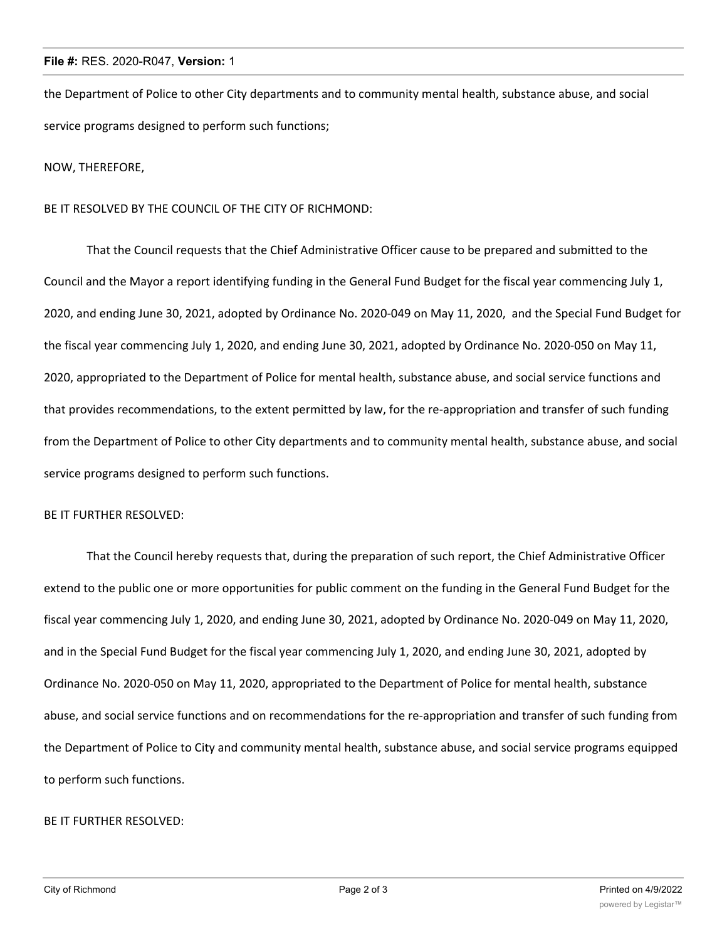## **File #:** RES. 2020-R047, **Version:** 1

the Department of Police to other City departments and to community mental health, substance abuse, and social service programs designed to perform such functions;

NOW, THEREFORE,

## BE IT RESOLVED BY THE COUNCIL OF THE CITY OF RICHMOND:

That the Council requests that the Chief Administrative Officer cause to be prepared and submitted to the Council and the Mayor a report identifying funding in the General Fund Budget for the fiscal year commencing July 1, 2020, and ending June 30, 2021, adopted by Ordinance No. 2020-049 on May 11, 2020, and the Special Fund Budget for the fiscal year commencing July 1, 2020, and ending June 30, 2021, adopted by Ordinance No. 2020-050 on May 11, 2020, appropriated to the Department of Police for mental health, substance abuse, and social service functions and that provides recommendations, to the extent permitted by law, for the re-appropriation and transfer of such funding from the Department of Police to other City departments and to community mental health, substance abuse, and social service programs designed to perform such functions.

### BE IT FURTHER RESOLVED:

That the Council hereby requests that, during the preparation of such report, the Chief Administrative Officer extend to the public one or more opportunities for public comment on the funding in the General Fund Budget for the fiscal year commencing July 1, 2020, and ending June 30, 2021, adopted by Ordinance No. 2020-049 on May 11, 2020, and in the Special Fund Budget for the fiscal year commencing July 1, 2020, and ending June 30, 2021, adopted by Ordinance No. 2020-050 on May 11, 2020, appropriated to the Department of Police for mental health, substance abuse, and social service functions and on recommendations for the re-appropriation and transfer of such funding from the Department of Police to City and community mental health, substance abuse, and social service programs equipped to perform such functions.

#### BE IT FURTHER RESOLVED: